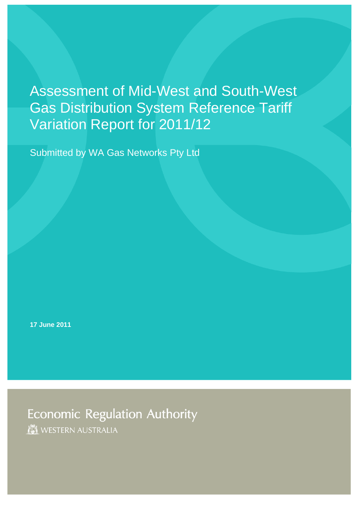Assessment of Mid-West and South-West Gas Distribution System Reference Tariff Variation Report for 2011/12

Submitted by WA Gas Networks Pty Ltd

**17 June 2011**

**Economic Regulation Authority** WESTERN AUSTRALIA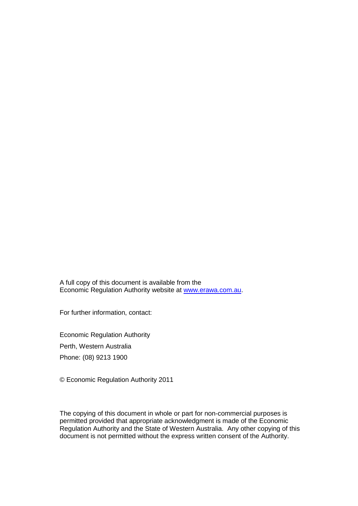A full copy of this document is available from the Economic Regulation Authority website at [www.erawa.com.au.](http://www.erawa.com.au/)

For further information, contact:

Economic Regulation Authority Perth, Western Australia Phone: (08) 9213 1900

© Economic Regulation Authority 2011

The copying of this document in whole or part for non-commercial purposes is permitted provided that appropriate acknowledgment is made of the Economic Regulation Authority and the State of Western Australia. Any other copying of this document is not permitted without the express written consent of the Authority.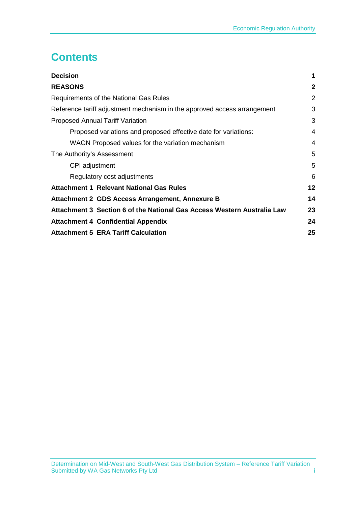# **Contents**

<span id="page-2-0"></span>

| <b>Decision</b>                                                          | 1               |
|--------------------------------------------------------------------------|-----------------|
| <b>REASONS</b>                                                           | $\mathbf{2}$    |
| Requirements of the National Gas Rules                                   | 2               |
| Reference tariff adjustment mechanism in the approved access arrangement | 3               |
| <b>Proposed Annual Tariff Variation</b>                                  | 3               |
| Proposed variations and proposed effective date for variations:          | 4               |
| WAGN Proposed values for the variation mechanism                         | 4               |
| The Authority's Assessment                                               | 5               |
| CPI adjustment                                                           | 5               |
| Regulatory cost adjustments                                              | 6               |
| <b>Attachment 1 Relevant National Gas Rules</b>                          | 12 <sub>2</sub> |
| Attachment 2 GDS Access Arrangement, Annexure B                          | 14              |
| Attachment 3 Section 6 of the National Gas Access Western Australia Law  | 23              |
| <b>Attachment 4 Confidential Appendix</b>                                | 24              |
| <b>Attachment 5 ERA Tariff Calculation</b>                               | 25              |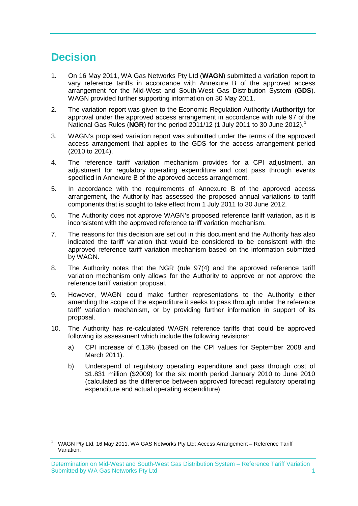# <span id="page-4-0"></span>**Decision**

-

- 1. On 16 May 2011, WA Gas Networks Pty Ltd (**WAGN**) submitted a variation report to vary reference tariffs in accordance with Annexure B of the approved access arrangement for the Mid-West and South-West Gas Distribution System (GDS). WAGN provided further supporting information on 30 May 2011.
- 2. The variation report was given to the Economic Regulation Authority (**Authority**) for approval under the approved access arrangement in accordance with rule 97 of the National Gas Rules (**NGR**) for the period 2011/12 (1 July 2011 to 30 June 2012).[1](#page-2-0)
- 3. WAGN's proposed variation report was submitted under the terms of the approved access arrangement that applies to the GDS for the access arrangement period (2010 to 2014).
- 4. The reference tariff variation mechanism provides for a CPI adjustment, an adjustment for regulatory operating expenditure and cost pass through events specified in Annexure B of the approved access arrangement.
- 5. In accordance with the requirements of Annexure B of the approved access arrangement, the Authority has assessed the proposed annual variations to tariff components that is sought to take effect from 1 July 2011 to 30 June 2012.
- 6. The Authority does not approve WAGN's proposed reference tariff variation, as it is inconsistent with the approved reference tariff variation mechanism.
- 7. The reasons for this decision are set out in this document and the Authority has also indicated the tariff variation that would be considered to be consistent with the approved reference tariff variation mechanism based on the information submitted by WAGN.
- 8. The Authority notes that the NGR (rule 97(4) and the approved reference tariff variation mechanism only allows for the Authority to approve or not approve the reference tariff variation proposal.
- 9. However, WAGN could make further representations to the Authority either amending the scope of the expenditure it seeks to pass through under the reference tariff variation mechanism, or by providing further information in support of its proposal.
- 10. The Authority has re-calculated WAGN reference tariffs that could be approved following its assessment which include the following revisions:
	- a) CPI increase of 6.13% (based on the CPI values for September 2008 and March 2011).
	- b) Underspend of regulatory operating expenditure and pass through cost of \$1.831 million (\$2009) for the six month period January 2010 to June 2010 (calculated as the difference between approved forecast regulatory operating expenditure and actual operating expenditure).

<span id="page-4-1"></span><sup>1</sup> WAGN Pty Ltd, 16 May 2011, WA GAS Networks Pty Ltd: Access Arrangement – Reference Tariff Variation.

Determination on Mid-West and South-West Gas Distribution System – Reference Tariff Variation Submitted by WA Gas Networks Pty Ltd 1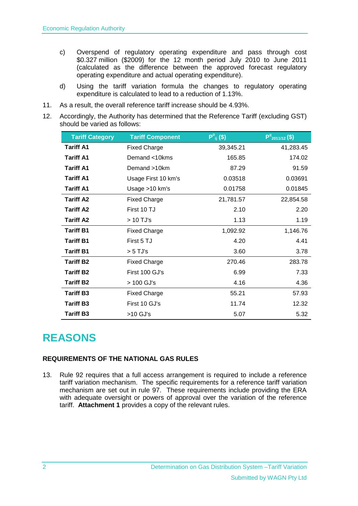- c) Overspend of regulatory operating expenditure and pass through cost \$0.327 million (\$2009) for the 12 month period July 2010 to June 2011 (calculated as the difference between the approved forecast regulatory operating expenditure and actual operating expenditure).
- d) Using the tariff variation formula the changes to regulatory operating expenditure is calculated to lead to a reduction of 1.13%.
- 11. As a result, the overall reference tariff increase should be 4.93%.
- 12. Accordingly, the Authority has determined that the Reference Tariff (excluding GST) should be varied as follows:

| <b>Tariff Category</b> | <b>Tariff Component</b> | $P^0_{ii}(\$)$ | $P^{ij}_{2011/12}(\$)$ |
|------------------------|-------------------------|----------------|------------------------|
| <b>Tariff A1</b>       | <b>Fixed Charge</b>     | 39,345.21      | 41,283.45              |
| <b>Tariff A1</b>       | Demand <10kms           | 165.85         | 174.02                 |
| <b>Tariff A1</b>       | Demand >10km            | 87.29          | 91.59                  |
| <b>Tariff A1</b>       | Usage First 10 km's     | 0.03518        | 0.03691                |
| <b>Tariff A1</b>       | Usage >10 km's          | 0.01758        | 0.01845                |
| <b>Tariff A2</b>       | <b>Fixed Charge</b>     | 21,781.57      | 22,854.58              |
| <b>Tariff A2</b>       | First 10 TJ             | 2.10           | 2.20                   |
| <b>Tariff A2</b>       | > 10 TJ's               | 1.13           | 1.19                   |
| <b>Tariff B1</b>       | <b>Fixed Charge</b>     | 1,092.92       | 1,146.76               |
| <b>Tariff B1</b>       | First 5 TJ              | 4.20           | 4.41                   |
| <b>Tariff B1</b>       | $> 5$ TJ's              | 3.60           | 3.78                   |
| <b>Tariff B2</b>       | <b>Fixed Charge</b>     | 270.46         | 283.78                 |
| <b>Tariff B2</b>       | First 100 GJ's          | 6.99           | 7.33                   |
| <b>Tariff B2</b>       | > 100 GJ's              | 4.16           | 4.36                   |
| <b>Tariff B3</b>       | <b>Fixed Charge</b>     | 55.21          | 57.93                  |
| <b>Tariff B3</b>       | First 10 GJ's           | 11.74          | 12.32                  |
| <b>Tariff B3</b>       | >10 GJ's                | 5.07           | 5.32                   |

## <span id="page-5-0"></span>**REASONS**

## <span id="page-5-1"></span>**REQUIREMENTS OF THE NATIONAL GAS RULES**

13. Rule 92 requires that a full access arrangement is required to include a reference tariff variation mechanism. The specific requirements for a reference tariff variation mechanism are set out in rule 97. These requirements include providing the ERA with adequate oversight or powers of approval over the variation of the reference tariff. **Attachment 1** provides a copy of the relevant rules.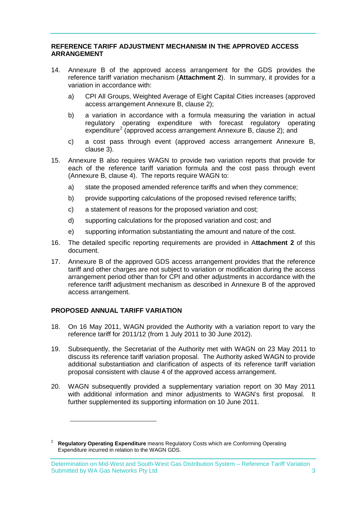## <span id="page-6-0"></span>**REFERENCE TARIFF ADJUSTMENT MECHANISM IN THE APPROVED ACCESS ARRANGEMENT**

- 14. Annexure B of the approved access arrangement for the GDS provides the reference tariff variation mechanism (**Attachment 2**). In summary, it provides for a variation in accordance with:
	- a) CPI All Groups, Weighted Average of Eight Capital Cities increases (approved access arrangement Annexure B, clause 2);
	- b) a variation in accordance with a formula measuring the variation in actual regulatory operating expenditure with forecast regulatory operating expenditure<sup>[2](#page-4-1)</sup> (approved access arrangement Annexure B, clause 2); and
	- c) a cost pass through event (approved access arrangement Annexure B, clause 3).
- 15. Annexure B also requires WAGN to provide two variation reports that provide for each of the reference tariff variation formula and the cost pass through event (Annexure B, clause 4). The reports require WAGN to:
	- a) state the proposed amended reference tariffs and when they commence;
	- b) provide supporting calculations of the proposed revised reference tariffs;
	- c) a statement of reasons for the proposed variation and cost;
	- d) supporting calculations for the proposed variation and cost; and
	- e) supporting information substantiating the amount and nature of the cost.
- 16. The detailed specific reporting requirements are provided in A**ttachment 2** of this document.
- 17. Annexure B of the approved GDS access arrangement provides that the reference tariff and other charges are not subject to variation or modification during the access arrangement period other than for CPI and other adjustments in accordance with the reference tariff adjustment mechanism as described in Annexure B of the approved access arrangement.

## <span id="page-6-1"></span>**PROPOSED ANNUAL TARIFF VARIATION**

-

- 18. On 16 May 2011, WAGN provided the Authority with a variation report to vary the reference tariff for 2011/12 (from 1 July 2011 to 30 June 2012).
- 19. Subsequently, the Secretariat of the Authority met with WAGN on 23 May 2011 to discuss its reference tariff variation proposal. The Authority asked WAGN to provide additional substantiation and clarification of aspects of its reference tariff variation proposal consistent with clause 4 of the approved access arrangement.
- <span id="page-6-2"></span>20. WAGN subsequently provided a supplementary variation report on 30 May 2011 with additional information and minor adjustments to WAGN's first proposal. It further supplemented its supporting information on 10 June 2011.

<sup>2</sup> **Regulatory Operating Expenditure** means Regulatory Costs which are Conforming Operating Expenditure incurred in relation to the WAGN GDS.

Determination on Mid-West and South-West Gas Distribution System – Reference Tariff Variation Submitted by WA Gas Networks Pty Ltd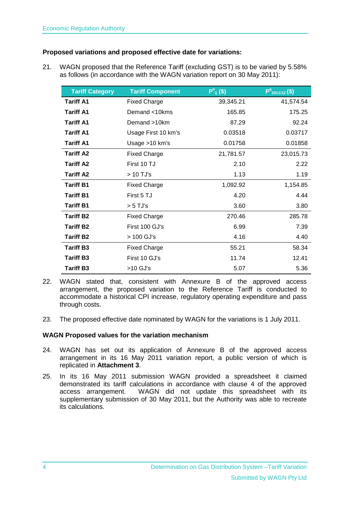## <span id="page-7-0"></span>**Proposed variations and proposed effective date for variations:**

21. WAGN proposed that the Reference Tariff (excluding GST) is to be varied by 5.58% as follows (in accordance with the WAGN variation report on 30 May 2011):

| <b>Tariff Category</b> | <b>Tariff Component</b> | $P^0_{ij}(\$)$ | $P^{ij}_{2011/12}(\$)$ |
|------------------------|-------------------------|----------------|------------------------|
| <b>Tariff A1</b>       | <b>Fixed Charge</b>     | 39,345.21      | 41,574.54              |
| <b>Tariff A1</b>       | Demand <10kms           | 165.85         | 175.25                 |
| <b>Tariff A1</b>       | Demand >10km            | 87.29          | 92.24                  |
| <b>Tariff A1</b>       | Usage First 10 km's     | 0.03518        | 0.03717                |
| <b>Tariff A1</b>       | Usage >10 km's          | 0.01758        | 0.01858                |
| <b>Tariff A2</b>       | <b>Fixed Charge</b>     | 21,781.57      | 23,015.73              |
| <b>Tariff A2</b>       | First 10 TJ             | 2.10           | 2.22                   |
| <b>Tariff A2</b>       | > 10 TJ's               | 1.13           | 1.19                   |
| <b>Tariff B1</b>       | <b>Fixed Charge</b>     | 1,092.92       | 1,154.85               |
| <b>Tariff B1</b>       | First 5 TJ              | 4.20           | 4.44                   |
| <b>Tariff B1</b>       | $> 5$ TJ's              | 3.60           | 3.80                   |
| <b>Tariff B2</b>       | <b>Fixed Charge</b>     | 270.46         | 285.78                 |
| <b>Tariff B2</b>       | First 100 GJ's          | 6.99           | 7.39                   |
| <b>Tariff B2</b>       | > 100 GJ's              | 4.16           | 4.40                   |
| <b>Tariff B3</b>       | <b>Fixed Charge</b>     | 55.21          | 58.34                  |
| <b>Tariff B3</b>       | First 10 GJ's           | 11.74          | 12.41                  |
| <b>Tariff B3</b>       | >10 GJ's                | 5.07           | 5.36                   |

- 22. WAGN stated that, consistent with Annexure B of the approved access arrangement, the proposed variation to the Reference Tariff is conducted to accommodate a historical CPI increase, regulatory operating expenditure and pass through costs.
- 23. The proposed effective date nominated by WAGN for the variations is 1 July 2011.

## <span id="page-7-1"></span>**WAGN Proposed values for the variation mechanism**

- 24. WAGN has set out its application of Annexure B of the approved access arrangement in its 16 May 2011 variation report, a public version of which is replicated in **Attachment 3**.
- 25. In its 16 May 2011 submission WAGN provided a spreadsheet it claimed demonstrated its tariff calculations in accordance with clause 4 of the approved access arrangement. WAGN did not update this spreadsheet with its supplementary submission of 30 May 2011, but the Authority was able to recreate its calculations.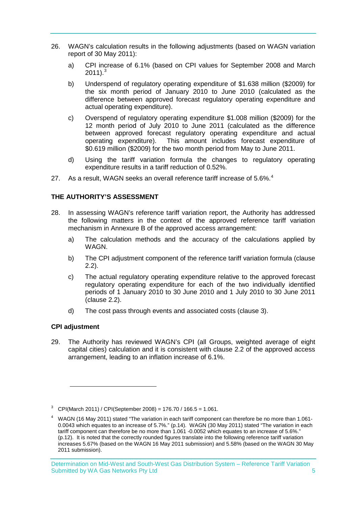- 26. WAGN's calculation results in the following adjustments (based on WAGN variation report of 30 May 2011):
	- a) CPI increase of 6.1% (based on CPI values for September 2008 and March  $2011$ <sup>[3](#page-6-2)</sup>
	- b) Underspend of regulatory operating expenditure of \$1.638 million (\$2009) for the six month period of January 2010 to June 2010 (calculated as the difference between approved forecast regulatory operating expenditure and actual operating expenditure).
	- c) Overspend of regulatory operating expenditure \$1.008 million (\$2009) for the 12 month period of July 2010 to June 2011 (calculated as the difference between approved forecast regulatory operating expenditure and actual operating expenditure). This amount includes forecast expenditure of \$0.619 million (\$2009) for the two month period from May to June 2011.
	- d) Using the tariff variation formula the changes to regulatory operating expenditure results in a tariff reduction of 0.52%.
- 27. As a result, WAGN seeks an overall reference tariff increase of 5.6%.<sup>[4](#page-8-2)</sup>

## <span id="page-8-0"></span>**THE AUTHORITY'S ASSESSMENT**

- 28. In assessing WAGN's reference tariff variation report, the Authority has addressed the following matters in the context of the approved reference tariff variation mechanism in Annexure B of the approved access arrangement:
	- a) The calculation methods and the accuracy of the calculations applied by WAGN.
	- b) The CPI adjustment component of the reference tariff variation formula (clause 2.2).
	- c) The actual regulatory operating expenditure relative to the approved forecast regulatory operating expenditure for each of the two individually identified periods of 1 January 2010 to 30 June 2010 and 1 July 2010 to 30 June 2011 (clause 2.2).
	- d) The cost pass through events and associated costs (clause 3).

## <span id="page-8-1"></span>**CPI adjustment**

<u>.</u>

29. The Authority has reviewed WAGN's CPI (all Groups, weighted average of eight capital cities) calculation and it is consistent with clause 2.2 of the approved access arrangement, leading to an inflation increase of 6.1%.

<sup>3</sup> CPI(March 2011) / CPI(September 2008) = 176.70 / 166.5 = 1.061.

<span id="page-8-3"></span><span id="page-8-2"></span><sup>&</sup>lt;sup>4</sup> WAGN (16 May 2011) stated "The variation in each tariff component can therefore be no more than 1.061-0.0043 which equates to an increase of 5.7%." (p.14). WAGN (30 May 2011) stated "The variation in each tariff component can therefore be no more than 1.061 -0.0052 which equates to an increase of 5.6%." (p.12). It is noted that the correctly rounded figures translate into the following reference tariff variation increases 5.67% (based on the WAGN 16 May 2011 submission) and 5.58% (based on the WAGN 30 May 2011 submission).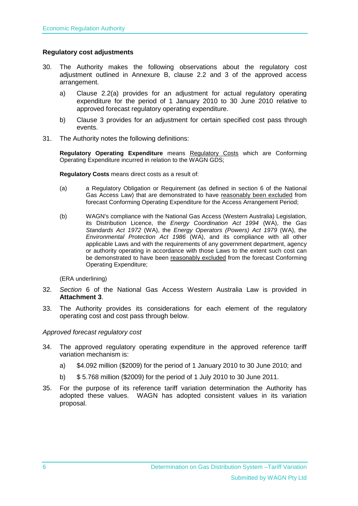## <span id="page-9-0"></span>**Regulatory cost adjustments**

- 30. The Authority makes the following observations about the regulatory cost adjustment outlined in Annexure B, clause 2.2 and 3 of the approved access arrangement.
	- a) Clause 2.2(a) provides for an adjustment for actual regulatory operating expenditure for the period of 1 January 2010 to 30 June 2010 relative to approved forecast regulatory operating expenditure.
	- b) Clause 3 provides for an adjustment for certain specified cost pass through events.
- <span id="page-9-1"></span>31. The Authority notes the following definitions:

**Regulatory Operating Expenditure** means Regulatory Costs which are Conforming Operating Expenditure incurred in relation to the WAGN GDS;

**Regulatory Costs** means direct costs as a result of:

- (a) a Regulatory Obligation or Requirement (as defined in section 6 of the National Gas Access Law) that are demonstrated to have reasonably been excluded from forecast Conforming Operating Expenditure for the Access Arrangement Period;
- (b) WAGN's compliance with the National Gas Access (Western Australia) Legislation, its Distribution Licence, the *Energy Coordination Act 1994* (WA), the *Gas Standards Act 1972* (WA), the *Energy Operators (Powers) Act 1979* (WA), the *Environmental Protection Act 1986* (WA), and its compliance with all other applicable Laws and with the requirements of any government department, agency or authority operating in accordance with those Laws to the extent such cost can be demonstrated to have been reasonably excluded from the forecast Conforming Operating Expenditure;

(ERA underlining)

- <span id="page-9-2"></span>32. *Section* 6 of the National Gas Access Western Australia Law is provided in **Attachment 3**.
- 33. The Authority provides its considerations for each element of the regulatory operating cost and cost pass through below.

#### *Approved forecast regulatory cost*

- 34. The approved regulatory operating expenditure in the approved reference tariff variation mechanism is:
	- a) \$4.092 million (\$2009) for the period of 1 January 2010 to 30 June 2010; and
	- b) \$ 5.768 million (\$2009) for the period of 1 July 2010 to 30 June 2011.
- 35. For the purpose of its reference tariff variation determination the Authority has adopted these values. WAGN has adopted consistent values in its variation proposal.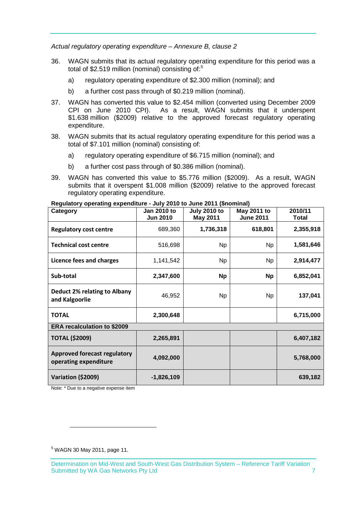*Actual regulatory operating expenditure – Annexure B, clause 2* 

- 36. WAGN submits that its actual regulatory operating expenditure for this period was a total of \$2.[5](#page-8-3)19 million (nominal) consisting of:<sup>5</sup>
	- a) regulatory operating expenditure of \$2.300 million (nominal); and
	- b) a further cost pass through of \$0.219 million (nominal).
- 37. WAGN has converted this value to \$2.454 million (converted using December 2009 CPI on June 2010 CPI). As a result, WAGN submits that it underspent \$1.638 million (\$2009) relative to the approved forecast regulatory operating expenditure.
- 38. WAGN submits that its actual regulatory operating expenditure for this period was a total of \$7.101 million (nominal) consisting of:
	- a) regulatory operating expenditure of \$6.715 million (nominal); and
	- b) a further cost pass through of \$0.386 million (nominal).
- 39. WAGN has converted this value to \$5.776 million (\$2009). As a result, WAGN submits that it overspent \$1.008 million (\$2009) relative to the approved forecast regulatory operating expenditure.

| Category                                                     | Jan 2010 to<br><b>Jun 2010</b> | <b>July 2010 to</b><br><b>May 2011</b> | May 2011 to<br><b>June 2011</b> | 2010/11<br>Total |
|--------------------------------------------------------------|--------------------------------|----------------------------------------|---------------------------------|------------------|
| <b>Regulatory cost centre</b>                                | 689,360                        | 1,736,318                              | 618,801                         | 2,355,918        |
| <b>Technical cost centre</b>                                 | 516,698                        | <b>Np</b>                              | <b>Np</b>                       | 1,581,646        |
| Licence fees and charges                                     | 1,141,542                      | <b>Np</b>                              | <b>Np</b>                       | 2,914,477        |
| Sub-total                                                    | 2,347,600                      | <b>Np</b>                              | <b>Np</b>                       | 6,852,041        |
| <b>Deduct 2% relating to Albany</b><br>and Kalgoorlie        | 46,952                         | <b>Np</b>                              | <b>Np</b>                       | 137,041          |
| <b>TOTAL</b>                                                 | 2,300,648                      |                                        |                                 | 6,715,000        |
| <b>ERA recalculation to \$2009</b>                           |                                |                                        |                                 |                  |
| <b>TOTAL (\$2009)</b>                                        | 2,265,891                      |                                        |                                 | 6,407,182        |
| <b>Approved forecast regulatory</b><br>operating expenditure | 4,092,000                      |                                        |                                 | 5,768,000        |
| Variation (\$2009)                                           | -1,826,109                     |                                        |                                 | 639,182          |

**Regulatory operating expenditure - July 2010 to June 2011 (\$nominal)** 

Note: \* Due to a negative expense item

<u>.</u>

<span id="page-10-0"></span><sup>5</sup> WAGN 30 May 2011, page 11.

Determination on Mid-West and South-West Gas Distribution System – Reference Tariff Variation Submitted by WA Gas Networks Pty Ltd 7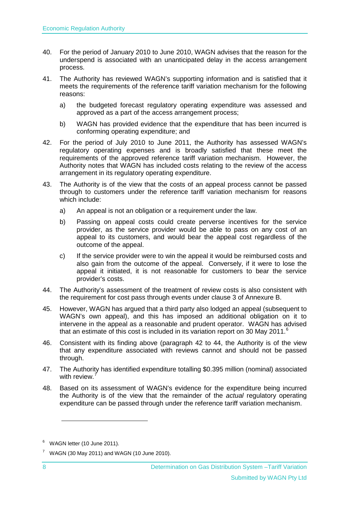- 40. For the period of January 2010 to June 2010, WAGN advises that the reason for the underspend is associated with an unanticipated delay in the access arrangement process.
- 41. The Authority has reviewed WAGN's supporting information and is satisfied that it meets the requirements of the reference tariff variation mechanism for the following reasons:
	- a) the budgeted forecast regulatory operating expenditure was assessed and approved as a part of the access arrangement process;
	- b) WAGN has provided evidence that the expenditure that has been incurred is conforming operating expenditure; and
- <span id="page-11-0"></span>42. For the period of July 2010 to June 2011, the Authority has assessed WAGN's regulatory operating expenses and is broadly satisfied that these meet the requirements of the approved reference tariff variation mechanism. However, the Authority notes that WAGN has included costs relating to the review of the access arrangement in its regulatory operating expenditure.
- 43. The Authority is of the view that the costs of an appeal process cannot be passed through to customers under the reference tariff variation mechanism for reasons which include:
	- a) An appeal is not an obligation or a requirement under the law.
	- b) Passing on appeal costs could create perverse incentives for the service provider, as the service provider would be able to pass on any cost of an appeal to its customers, and would bear the appeal cost regardless of the outcome of the appeal.
	- c) If the service provider were to win the appeal it would be reimbursed costs and also gain from the outcome of the appeal. Conversely, if it were to lose the appeal it initiated, it is not reasonable for customers to bear the service provider's costs.
- <span id="page-11-1"></span>44. The Authority's assessment of the treatment of review costs is also consistent with the requirement for cost pass through events under clause 3 of Annexure B.
- 45. However, WAGN has argued that a third party also lodged an appeal (subsequent to WAGN's own appeal), and this has imposed an additional obligation on it to intervene in the appeal as a reasonable and prudent operator. WAGN has advised that an estimate of this cost is included in its variation report on 30 May 2011.<sup>[6](#page-10-0)</sup>
- 46. Consistent with its finding above (paragraph [42](#page-11-0) to [44,](#page-11-1) the Authority is of the view that any expenditure associated with reviews cannot and should not be passed through.
- 47. The Authority has identified expenditure totalling \$0.395 million (nominal) associated with review.<sup>[7](#page-11-2)</sup>
- 48. Based on its assessment of WAGN's evidence for the expenditure being incurred the Authority is of the view that the remainder of the *actual* regulatory operating expenditure can be passed through under the reference tariff variation mechanism.

-

 $6$  WAGN letter (10 June 2011).

<span id="page-11-2"></span> $7$  WAGN (30 May 2011) and WAGN (10 June 2010).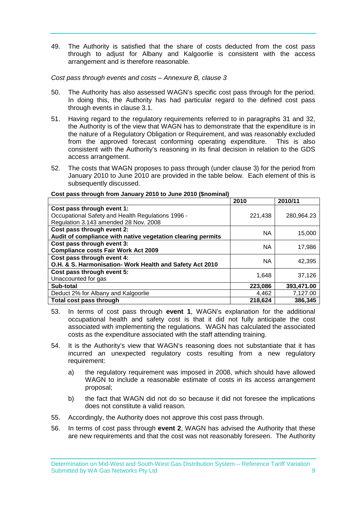49. The Authority is satisfied that the share of costs deducted from the cost pass through to adjust for Albany and Kalgoorlie is consistent with the access arrangement and is therefore reasonable.

*Cost pass through events and costs – Annexure B, clause 3*

- 50. The Authority has also assessed WAGN's specific cost pass through for the period. In doing this, the Authority has had particular regard to the defined cost pass through events in clause 3.1.
- 51. Having regard to the regulatory requirements referred to in paragraphs [31](#page-9-1) and [32,](#page-9-2) the Authority is of the view that WAGN has to demonstrate that the expenditure is in the nature of a Regulatory Obligation or Requirement, and was reasonably excluded from the approved forecast conforming operating expenditure. This is also consistent with the Authority's reasoning in its final decision in relation to the GDS access arrangement.
- 52. The costs that WAGN proposes to pass through (under clause 3) for the period from January 2010 to June 2010 are provided in the table below. Each element of this is subsequently discussed.

|                                                             | 2010      | 2010/11    |
|-------------------------------------------------------------|-----------|------------|
| Cost pass through event 1:                                  |           |            |
| Occupational Safety and Health Regulations 1996 -           | 221,438   | 280,964.23 |
| Regulation 3.143 amended 28 Nov. 2008                       |           |            |
| Cost pass through event 2:                                  | <b>NA</b> | 15,000     |
| Audit of compliance with native vegetation clearing permits |           |            |
| Cost pass through event 3:                                  | <b>NA</b> | 17,986     |
| <b>Compliance costs Fair Work Act 2009</b>                  |           |            |
| Cost pass through event 4:                                  | NA        | 42.395     |
| O.H. & S. Harmonisation- Work Health and Safety Act 2010    |           |            |
| Cost pass through event 5:                                  | 1,648     | 37,126     |
| Unaccounted for gas                                         |           |            |
| Sub-total                                                   | 223,086   | 393,471.00 |
| Deduct 2% for Albany and Kalgoorlie                         | 4,462     | 7,127.00   |
| Total cost pass through                                     | 218,624   | 386,345    |

**Cost pass through from January 2010 to June 2010 (\$nominal)** 

- 53. In terms of cost pass through **event 1**, WAGN's explanation for the additional occupational health and safety cost is that it did not fully anticipate the cost associated with implementing the regulations. WAGN has calculated the associated costs as the expenditure associated with the staff attending training.
- 54. It is the Authority's view that WAGN's reasoning does not substantiate that it has incurred an unexpected regulatory costs resulting from a new regulatory requirement:
	- a) the regulatory requirement was imposed in 2008, which should have allowed WAGN to include a reasonable estimate of costs in its access arrangement proposal;
	- b) the fact that WAGN did not do so because it did not foresee the implications does not constitute a valid reason.
- 55. Accordingly, the Authority does not approve this cost pass through.
- 56. In terms of cost pass through **event 2**, WAGN has advised the Authority that these are new requirements and that the cost was not reasonably foreseen. The Authority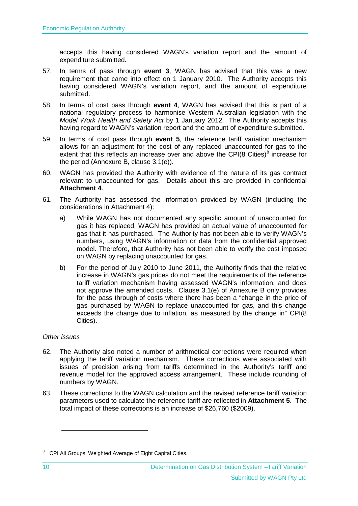accepts this having considered WAGN's variation report and the amount of expenditure submitted.

- 57. In terms of pass through **event 3**, WAGN has advised that this was a new requirement that came into effect on 1 January 2010. The Authority accepts this having considered WAGN's variation report, and the amount of expenditure submitted.
- 58. In terms of cost pass through **event 4**, WAGN has advised that this is part of a national regulatory process to harmonise Western Australian legislation with the *Model Work Health and Safety Act* by 1 January 2012. The Authority accepts this having regard to WAGN's variation report and the amount of expenditure submitted.
- 59. In terms of cost pass through **event 5**, the reference tariff variation mechanism allows for an adjustment for the cost of any replaced unaccounted for gas to the extent that this reflects an increase over and above the CPI([8](#page-11-2) Cities)<sup>8</sup> increase for the period (Annexure B, clause 3.1(e)).
- 60. WAGN has provided the Authority with evidence of the nature of its gas contract relevant to unaccounted for gas. Details about this are provided in confidential **Attachment 4**.
- 61. The Authority has assessed the information provided by WAGN (including the considerations in Attachment 4):
	- a) While WAGN has not documented any specific amount of unaccounted for gas it has replaced, WAGN has provided an actual value of unaccounted for gas that it has purchased. The Authority has not been able to verify WAGN's numbers, using WAGN's information or data from the confidential approved model. Therefore, that Authority has not been able to verify the cost imposed on WAGN by replacing unaccounted for gas.
	- b) For the period of July 2010 to June 2011, the Authority finds that the relative increase in WAGN's gas prices do not meet the requirements of the reference tariff variation mechanism having assessed WAGN's information, and does not approve the amended costs. Clause 3.1(e) of Annexure B only provides for the pass through of costs where there has been a "change in the price of gas purchased by WAGN to replace unaccounted for gas, and this change exceeds the change due to inflation, as measured by the change in" CPI(8 Cities).

## *Other issues*

 $\ddot{\phantom{a}}$ 

- 62. The Authority also noted a number of arithmetical corrections were required when applying the tariff variation mechanism. These corrections were associated with issues of precision arising from tariffs determined in the Authority's tariff and revenue model for the approved access arrangement. These include rounding of numbers by WAGN.
- 63. These corrections to the WAGN calculation and the revised reference tariff variation parameters used to calculate the reference tariff are reflected in **Attachment 5**. The total impact of these corrections is an increase of \$26,760 (\$2009).

<sup>&</sup>lt;sup>8</sup> CPI All Groups, Weighted Average of Eight Capital Cities.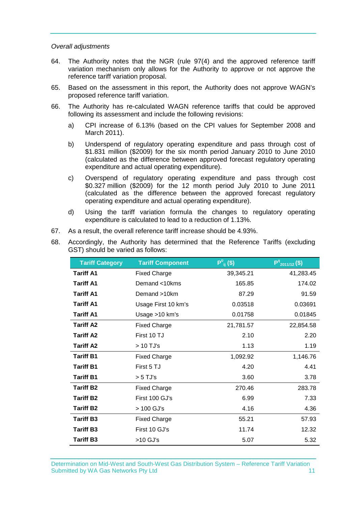#### *Overall adjustments*

- 64. The Authority notes that the NGR (rule 97(4) and the approved reference tariff variation mechanism only allows for the Authority to approve or not approve the reference tariff variation proposal.
- 65. Based on the assessment in this report, the Authority does not approve WAGN's proposed reference tariff variation.
- 66. The Authority has re-calculated WAGN reference tariffs that could be approved following its assessment and include the following revisions:
	- a) CPI increase of 6.13% (based on the CPI values for September 2008 and March 2011).
	- b) Underspend of regulatory operating expenditure and pass through cost of \$1.831 million (\$2009) for the six month period January 2010 to June 2010 (calculated as the difference between approved forecast regulatory operating expenditure and actual operating expenditure).
	- c) Overspend of regulatory operating expenditure and pass through cost \$0.327 million (\$2009) for the 12 month period July 2010 to June 2011 (calculated as the difference between the approved forecast regulatory operating expenditure and actual operating expenditure).
	- d) Using the tariff variation formula the changes to regulatory operating expenditure is calculated to lead to a reduction of 1.13%.
- 67. As a result, the overall reference tariff increase should be 4.93%.
- 68. Accordingly, the Authority has determined that the Reference Tariffs (excluding GST) should be varied as follows:

| <b>Tariff Category</b> | <b>Tariff Component</b> | $P^0_{ii}$ (\$) | $P^{11}_{2011/12}(\overline{\$})$ |  |  |
|------------------------|-------------------------|-----------------|-----------------------------------|--|--|
| <b>Tariff A1</b>       | <b>Fixed Charge</b>     | 39,345.21       | 41,283.45                         |  |  |
| <b>Tariff A1</b>       | Demand <10kms           | 165.85          | 174.02                            |  |  |
| <b>Tariff A1</b>       | Demand >10km            | 87.29           | 91.59                             |  |  |
| <b>Tariff A1</b>       | Usage First 10 km's     | 0.03518         | 0.03691                           |  |  |
| <b>Tariff A1</b>       | Usage >10 km's          | 0.01758         | 0.01845                           |  |  |
| <b>Tariff A2</b>       | <b>Fixed Charge</b>     | 21,781.57       | 22,854.58                         |  |  |
| <b>Tariff A2</b>       | First 10 TJ             | 2.10            | 2.20                              |  |  |
| <b>Tariff A2</b>       | > 10 TJ's               | 1.13            | 1.19                              |  |  |
| <b>Tariff B1</b>       | <b>Fixed Charge</b>     | 1,092.92        | 1,146.76                          |  |  |
| <b>Tariff B1</b>       | First 5 TJ              | 4.20            | 4.41                              |  |  |
| <b>Tariff B1</b>       | $> 5$ TJ's              | 3.60            | 3.78                              |  |  |
| <b>Tariff B2</b>       | <b>Fixed Charge</b>     | 270.46          | 283.78                            |  |  |
| <b>Tariff B2</b>       | First 100 GJ's          | 6.99            | 7.33                              |  |  |
| <b>Tariff B2</b>       | > 100 GJ's              | 4.16            | 4.36                              |  |  |
| <b>Tariff B3</b>       | <b>Fixed Charge</b>     | 55.21           | 57.93                             |  |  |
| <b>Tariff B3</b>       | First 10 GJ's           | 11.74           | 12.32                             |  |  |
| <b>Tariff B3</b>       | >10 GJ's                | 5.07            | 5.32                              |  |  |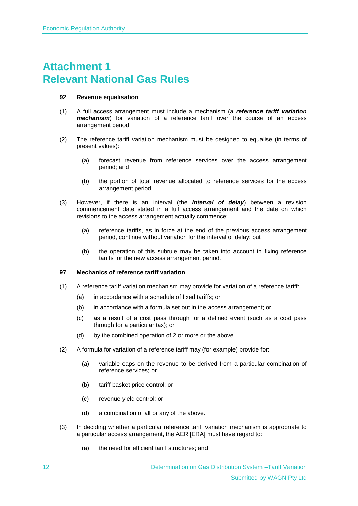# <span id="page-15-0"></span>**Attachment 1 Relevant National Gas Rules**

#### **92 Revenue equalisation**

- (1) A full access arrangement must include a mechanism (a *reference tariff variation mechanism*) for variation of a reference tariff over the course of an access arrangement period.
- (2) The reference tariff variation mechanism must be designed to equalise (in terms of present values):
	- (a) forecast revenue from reference services over the access arrangement period; and
	- (b) the portion of total revenue allocated to reference services for the access arrangement period.
- (3) However, if there is an interval (the *interval of delay*) between a revision commencement date stated in a full access arrangement and the date on which revisions to the access arrangement actually commence:
	- (a) reference tariffs, as in force at the end of the previous access arrangement period, continue without variation for the interval of delay; but
	- (b) the operation of this subrule may be taken into account in fixing reference tariffs for the new access arrangement period.

#### **97 Mechanics of reference tariff variation**

- (1) A reference tariff variation mechanism may provide for variation of a reference tariff:
	- (a) in accordance with a schedule of fixed tariffs; or
	- (b) in accordance with a formula set out in the access arrangement; or
	- (c) as a result of a cost pass through for a defined event (such as a cost pass through for a particular tax); or
	- (d) by the combined operation of 2 or more or the above.
- (2) A formula for variation of a reference tariff may (for example) provide for:
	- (a) variable caps on the revenue to be derived from a particular combination of reference services; or
	- (b) tariff basket price control; or
	- (c) revenue yield control; or
	- (d) a combination of all or any of the above.
- (3) In deciding whether a particular reference tariff variation mechanism is appropriate to a particular access arrangement, the AER [ERA] must have regard to:
	- (a) the need for efficient tariff structures; and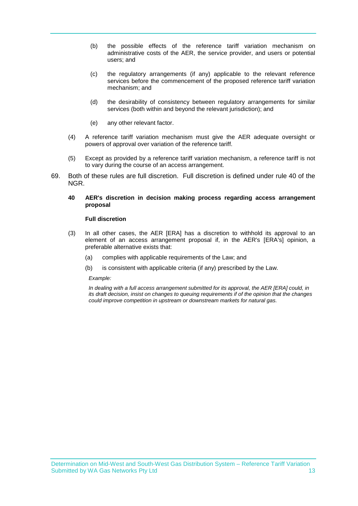- (b) the possible effects of the reference tariff variation mechanism on administrative costs of the AER, the service provider, and users or potential users; and
- (c) the regulatory arrangements (if any) applicable to the relevant reference services before the commencement of the proposed reference tariff variation mechanism; and
- (d) the desirability of consistency between regulatory arrangements for similar services (both within and beyond the relevant jurisdiction); and
- (e) any other relevant factor.
- (4) A reference tariff variation mechanism must give the AER adequate oversight or powers of approval over variation of the reference tariff.
- (5) Except as provided by a reference tariff variation mechanism, a reference tariff is not to vary during the course of an access arrangement.
- 69. Both of these rules are full discretion. Full discretion is defined under rule 40 of the NGR.

#### **40 AER's discretion in decision making process regarding access arrangement proposal**

#### **Full discretion**

- (3) In all other cases, the AER [ERA] has a discretion to withhold its approval to an element of an access arrangement proposal if, in the AER's [ERA's] opinion, a preferable alternative exists that:
	- (a) complies with applicable requirements of the Law; and
	- (b) is consistent with applicable criteria (if any) prescribed by the Law.

*Example:*

*In dealing with a full access arrangement submitted for its approval, the AER [ERA] could, in its draft decision, insist on changes to queuing requirements if of the opinion that the changes could improve competition in upstream or downstream markets for natural gas.*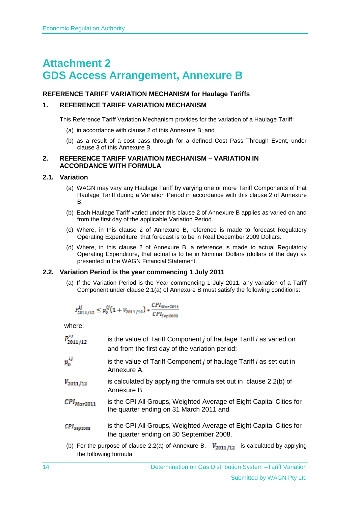# <span id="page-17-0"></span>**Attachment 2 GDS Access Arrangement, Annexure B**

## **REFERENCE TARIFF VARIATION MECHANISM for Haulage Tariffs**

## **1. REFERENCE TARIFF VARIATION MECHANISM**

This Reference Tariff Variation Mechanism provides for the variation of a Haulage Tariff:

- (a) in accordance with clause 2 of this Annexure B; and
- (b) as a result of a cost pass through for a defined Cost Pass Through Event, under clause 3 of this Annexure B.

#### <span id="page-17-1"></span>**2. REFERENCE TARIFF VARIATION MECHANISM – VARIATION IN ACCORDANCE WITH FORMULA**

## **2.1. Variation**

- (a) WAGN may vary any Haulage Tariff by varying one or more Tariff Components of that Haulage Tariff during a Variation Period in accordance with this clause [2](#page-17-1) of Annexure B.
- (b) Each Haulage Tariff varied under this clause [2](#page-17-1) of Annexure B applies as varied on and from the first day of the applicable Variation Period.
- (c) Where, in this clause 2 of Annexure B, reference is made to forecast Regulatory Operating Expenditure, that forecast is to be in Real December 2009 Dollars.
- (d) Where, in this clause 2 of Annexure B, a reference is made to actual Regulatory Operating Expenditure, that actual is to be in Nominal Dollars (dollars of the day) as presented in the WAGN Financial Statement.

## **2.2. Variation Period is the year commencing 1 July 2011**

(a) If the Variation Period is the Year commencing 1 July 2011, any variation of a Tariff Component under clause 2.1(a) of Annexure B must satisfy the following conditions:

$$
P^{ij}_{2011/12} \leq p^{ij}_0 \big(1+V_{2011/12}\big)*\frac{CPI_{Mar2011}}{CPI_{Sep2008}}
$$

where:

| P <sup>ij</sup><br>2011/12                   | is the value of Tariff Component <i>j</i> of haulage Tariff <i>i</i> as varied on<br>and from the first day of the variation period; |
|----------------------------------------------|--------------------------------------------------------------------------------------------------------------------------------------|
| $p_\mathrm{o}^{ij}$                          | is the value of Tariff Component <i>j</i> of haulage Tariff <i>i</i> as set out in<br>Annexure A.                                    |
| $V_{2011/12}$                                | is calculated by applying the formula set out in clause 2.2(b) of<br>Annexure B                                                      |
| $\mathcal{CPI}_{Mar2011}$                    | is the CPI All Groups, Weighted Average of Eight Capital Cities for<br>the quarter ending on 31 March 2011 and                       |
| $\mathcal{LPI}_{\mathcal{S}\mathcal{B}2008}$ | is the CPI All Groups, Weighted Average of Eight Capital Cities for<br>the quarter ending on 30 September 2008.                      |
|                                              | (b) For the purpose of clause 2.2(a) of Annexure B, $V_{2011/12}$<br>is calculated by applying<br>the following formula:             |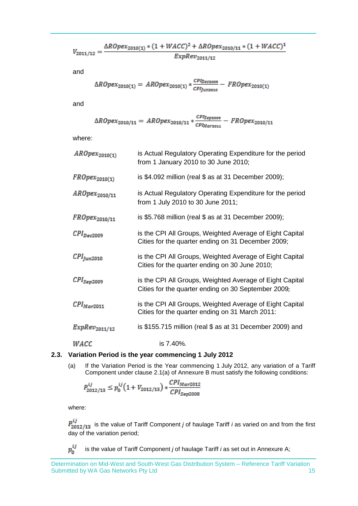$$
V_{2011/12}=\frac{\Delta R Oper_{2010(1)}*(1+WACC)^2+\Delta R Oper_{2010/11}*(1+WACC)^1}{ExpRev_{2011/12}}
$$

and

$$
\Delta R Oper_{2010(1)} = AR Oper_{2010(1)} * \frac{cPI_{Dec2009}}{cPI_{Jun2010}} - FROper_{2010(1)}
$$

and

$$
\Delta ROpex_{2010/11} = AROpex_{2010/11} * \frac{cPI_{Sep2009}}{cPI_{Mar2011}} - FROpex_{2010/11}
$$

where:

| $AROpex_{2010(1)}$                 | is Actual Regulatory Operating Expenditure for the period<br>from 1 January 2010 to 30 June 2010;               |
|------------------------------------|-----------------------------------------------------------------------------------------------------------------|
| $FROpex_{2010(1)}$                 | is \$4.092 million (real \$ as at 31 December 2009);                                                            |
| $AROpex_{2010/11}$                 | is Actual Regulatory Operating Expenditure for the period<br>from 1 July 2010 to 30 June 2011;                  |
| $FROpex_{2010/11}$                 | is \$5.768 million (real $$$ as at 31 December 2009);                                                           |
| $CPI_{Dec2009}$                    | is the CPI All Groups, Weighted Average of Eight Capital<br>Cities for the quarter ending on 31 December 2009;  |
| $\mathcal{CPI}_{\mathit{fun}2010}$ | is the CPI All Groups, Weighted Average of Eight Capital<br>Cities for the quarter ending on 30 June 2010;      |
| $\mathcal{CPI}_{Sep2009}$          | is the CPI All Groups, Weighted Average of Eight Capital<br>Cities for the quarter ending on 30 September 2009; |
| $\text{CPI}_{\text{Mar2011}}$      | is the CPI All Groups, Weighted Average of Eight Capital<br>Cities for the quarter ending on 31 March 2011:     |
| $ExpRev_{2011/12}$                 | is \$155.715 million (real $$$ as at 31 December 2009) and                                                      |
| <i><b>WACC</b></i>                 | is 7.40%.                                                                                                       |

## **2.3. Variation Period is the year commencing 1 July 2012**

(a) If the Variation Period is the Year commencing 1 July 2012, any variation of a Tariff Component under clause 2.1(a) of Annexure B must satisfy the following conditions:

$$
P_{2012/13}^{ij} \le p_0^{ij} \left( 1 + V_{2012/13} \right) * \frac{CPI_{Max2012}}{CPI_{Sep2008}}
$$

where:

 $P_{2012/13}^{ij}$  is the value of Tariff Component *j* of haulage Tariff *i* as varied on and from the first day of the variation period;

 $p_0^{ij}$  is the value of Tariff Component *j* of haulage Tariff *i* as set out in Annexure A;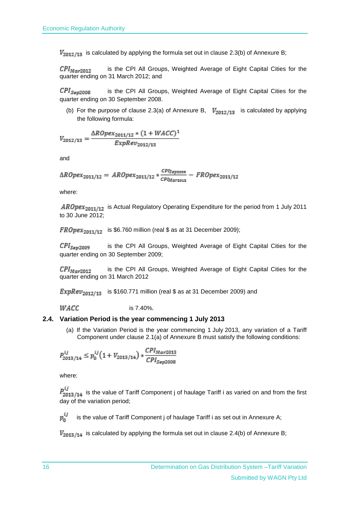$V_{2012}/13$  is calculated by applying the formula set out in clause 2.3(b) of Annexure B;

 $\text{CPI}_{\text{Mar2012}}$ is the CPI All Groups, Weighted Average of Eight Capital Cities for the quarter ending on 31 March 2012; and

 $\mathcal{CPI}_{\mathcal{S}\neq \mathcal{D}008}$  is the CPI All Groups, Weighted Average of Eight Capital Cities for the quarter ending on 30 September 2008.

(b) For the purpose of clause 2.3(a) of Annexure B,  $V_{2012}/13$  is calculated by applying the following formula:

$$
V_{2012/13} = \frac{\Delta R Oper_{2011/12} * (1 + WACC)^{1}}{ExpRev_{2012/13}}
$$

and

$$
\Delta R0 pex_{2011/12} = AR0 pex_{2011/12} * \frac{c^{p_{I_{Sep2009}}}}{c^{p_{I_{Mare012}}}} - FR0 pex_{2011/12}
$$

where:

 $AROpex_{2011/12}$  is Actual Regulatory Operating Expenditure for the period from 1 July 2011 to 30 June 2012;

 $FROpex_{2011/12}$  is \$6.760 million (real \$ as at 31 December 2009);

 $\mathcal{CPI}_{\mathcal{S}\sigma\sigma2009}$ is the CPI All Groups, Weighted Average of Eight Capital Cities for the quarter ending on 30 September 2009;

 $\mathcal{CPI}_{Mar2012}$  is the CPI All Groups, Weighted Average of Eight Capital Cities for the quarter ending on 31 March 2012

ExpRe $v_{2012/13}$  is \$160.771 million (real \$ as at 31 December 2009) and

 $WACC$  is 7.40%.

#### **2.4. Variation Period is the year commencing 1 July 2013**

(a) If the Variation Period is the year commencing 1 July 2013, any variation of a Tariff Component under clause 2.1(a) of Annexure B must satisfy the following conditions:

$$
P_{2013/14}^{ij} \le p_0^{ij} \left( 1 + V_{2013/14} \right) * \frac{CPI_{Max2013}}{CPI_{Sep2008}}
$$

where:

 $P_{2013/f14}^{ij}$  is the value of Tariff Component j of haulage Tariff i as varied on and from the first day of the variation period;

 $p_n^{ij}$  is the value of Tariff Component j of haulage Tariff i as set out in Annexure A;

 $V_{2013/14}$  is calculated by applying the formula set out in clause 2.4(b) of Annexure B;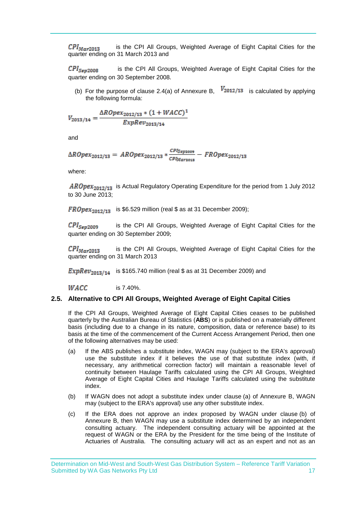$\text{CPI}_{\text{Mar2013}}$  is the CPI All Groups, Weighted Average of Eight Capital Cities for the quarter ending on 31 March 2013 and

 $\text{CPI}_{\text{Sev2008}}$  is the CPI All Groups, Weighted Average of Eight Capital Cities for the quarter ending on 30 September 2008.

(b) For the purpose of clause 2.4(a) of Annexure B,  $V_{2012}/13$  is calculated by applying the following formula:

$$
V_{2013/14} = \frac{\Delta R O p e x_{2012/13} * (1 + W A C C)^{1}}{Exp Rev_{2013/14}}
$$

and

$$
\Delta R0 pex_{2012/13} = AR0 pex_{2012/13} * \frac{c_{PIS_{\text{exp}2009}}}{c_{PIM_{\text{ar}2013}}} - FR0 pex_{2012/13}
$$

where:

 $AROpex_{2012/13}$  is Actual Regulatory Operating Expenditure for the period from 1 July 2012 to 30 June 2013;

 $FROpex<sub>2012</sub>r<sub>13</sub>$  is \$6.529 million (real \$ as at 31 December 2009);

 $\mathcal{CPI}_{\mathcal{S}\neq 2009}$  is the CPI All Groups, Weighted Average of Eight Capital Cities for the quarter ending on 30 September 2009;

 $\mathcal{CPI}_{Mar2013}$ is the CPI All Groups, Weighted Average of Eight Capital Cities for the quarter ending on 31 March 2013

**ExpRev**<sub>2013/14</sub> is \$165.740 million (real \$ as at 31 December 2009) and

 $WACC$  is 7.40%.

## <span id="page-20-2"></span>**2.5. Alternative to CPI All Groups, Weighted Average of Eight Capital Cities**

If the CPI All Groups, Weighted Average of Eight Capital Cities ceases to be published quarterly by the Australian Bureau of Statistics (**ABS**) or is published on a materially different basis (including due to a change in its nature, composition, data or reference base) to its basis at the time of the commencement of the Current Access Arrangement Period, then one of the following alternatives may be used:

- <span id="page-20-0"></span>(a) If the ABS publishes a substitute index, WAGN may (subject to the ERA's approval) use the substitute index if it believes the use of that substitute index (with, if necessary, any arithmetical correction factor) will maintain a reasonable level of continuity between Haulage Tariffs calculated using the CPI All Groups, Weighted Average of Eight Capital Cities and Haulage Tariffs calculated using the substitute index.
- <span id="page-20-1"></span>(b) If WAGN does not adopt a substitute index under clause [\(a\)](#page-20-0) of Annexure B, WAGN may (subject to the ERA's approval) use any other substitute index.
- (c) If the ERA does not approve an index proposed by WAGN under clause [\(b\)](#page-20-1) of Annexure B, then WAGN may use a substitute index determined by an independent consulting actuary. The independent consulting actuary will be appointed at the request of WAGN or the ERA by the President for the time being of the Institute of Actuaries of Australia. The consulting actuary will act as an expert and not as an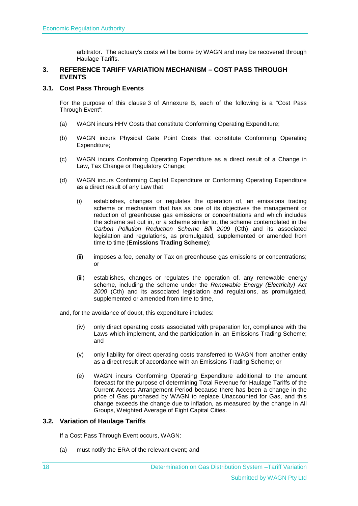arbitrator. The actuary's costs will be borne by WAGN and may be recovered through Haulage Tariffs.

#### <span id="page-21-0"></span>**3. REFERENCE TARIFF VARIATION MECHANISM – COST PASS THROUGH EVENTS**

#### **3.1. Cost Pass Through Events**

For the purpose of this clause [3](#page-21-0) of Annexure B, each of the following is a "Cost Pass Through Event":

- (a) WAGN incurs HHV Costs that constitute Conforming Operating Expenditure;
- (b) WAGN incurs Physical Gate Point Costs that constitute Conforming Operating Expenditure;
- (c) WAGN incurs Conforming Operating Expenditure as a direct result of a Change in Law, Tax Change or Regulatory Change;
- (d) WAGN incurs Conforming Capital Expenditure or Conforming Operating Expenditure as a direct result of any Law that:
	- (i) establishes, changes or regulates the operation of, an emissions trading scheme or mechanism that has as one of its objectives the management or reduction of greenhouse gas emissions or concentrations and which includes the scheme set out in, or a scheme similar to, the scheme contemplated in the *Carbon Pollution Reduction Scheme Bill 2009* (Cth) and its associated legislation and regulations, as promulgated, supplemented or amended from time to time (**Emissions Trading Scheme**);
	- (ii) imposes a fee, penalty or Tax on greenhouse gas emissions or concentrations; or
	- (iii) establishes, changes or regulates the operation of, any renewable energy scheme, including the scheme under the *Renewable Energy (Electricity) Act 2000* (Cth) and its associated legislation and regulations, as promulgated, supplemented or amended from time to time,

and, for the avoidance of doubt, this expenditure includes:

- (iv) only direct operating costs associated with preparation for, compliance with the Laws which implement, and the participation in, an Emissions Trading Scheme; and
- (v) only liability for direct operating costs transferred to WAGN from another entity as a direct result of accordance with an Emissions Trading Scheme; or
- (e) WAGN incurs Conforming Operating Expenditure additional to the amount forecast for the purpose of determining Total Revenue for Haulage Tariffs of the Current Access Arrangement Period because there has been a change in the price of Gas purchased by WAGN to replace Unaccounted for Gas, and this change exceeds the change due to inflation, as measured by the change in All Groups, Weighted Average of Eight Capital Cities.

## **3.2. Variation of Haulage Tariffs**

If a Cost Pass Through Event occurs, WAGN:

(a) must notify the ERA of the relevant event; and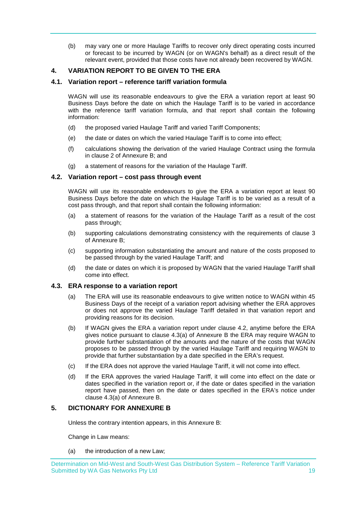(b) may vary one or more Haulage Tariffs to recover only direct operating costs incurred or forecast to be incurred by WAGN (or on WAGN's behalf) as a direct result of the relevant event, provided that those costs have not already been recovered by WAGN.

## **4. VARIATION REPORT TO BE GIVEN TO THE ERA**

#### **4.1. Variation report – reference tariff variation formula**

WAGN will use its reasonable endeavours to give the ERA a variation report at least 90 Business Days before the date on which the Haulage Tariff is to be varied in accordance with the reference tariff variation formula, and that report shall contain the following information:

- (d) the proposed varied Haulage Tariff and varied Tariff Components;
- (e) the date or dates on which the varied Haulage Tariff is to come into effect;
- (f) calculations showing the derivation of the varied Haulage Contract using the formula in clause 2 of Annexure B; and
- (g) a statement of reasons for the variation of the Haulage Tariff.

#### **4.2. Variation report – cost pass through event**

WAGN will use its reasonable endeavours to give the ERA a variation report at least 90 Business Days before the date on which the Haulage Tariff is to be varied as a result of a cost pass through, and that report shall contain the following information:

- (a) a statement of reasons for the variation of the Haulage Tariff as a result of the cost pass through;
- (b) supporting calculations demonstrating consistency with the requirements of clause 3 of Annexure B;
- (c) supporting information substantiating the amount and nature of the costs proposed to be passed through by the varied Haulage Tariff; and
- (d) the date or dates on which it is proposed by WAGN that the varied Haulage Tariff shall come into effect.

#### **4.3. ERA response to a variation report**

- (a) The ERA will use its reasonable endeavours to give written notice to WAGN within 45 Business Days of the receipt of a variation report advising whether the ERA approves or does not approve the varied Haulage Tariff detailed in that variation report and providing reasons for its decision.
- (b) If WAGN gives the ERA a variation report under clause 4.2, anytime before the ERA gives notice pursuant to clause 4.3(a) of Annexure B the ERA may require WAGN to provide further substantiation of the amounts and the nature of the costs that WAGN proposes to be passed through by the varied Haulage Tariff and requiring WAGN to provide that further substantiation by a date specified in the ERA's request.
- (c) If the ERA does not approve the varied Haulage Tariff, it will not come into effect.
- (d) If the ERA approves the varied Haulage Tariff, it will come into effect on the date or dates specified in the variation report or, if the date or dates specified in the variation report have passed, then on the date or dates specified in the ERA's notice under clause 4.3(a) of Annexure B.

#### **5. DICTIONARY FOR ANNEXURE B**

Unless the contrary intention appears, in this Annexure B:

Change in Law means:

(a) the introduction of a new Law;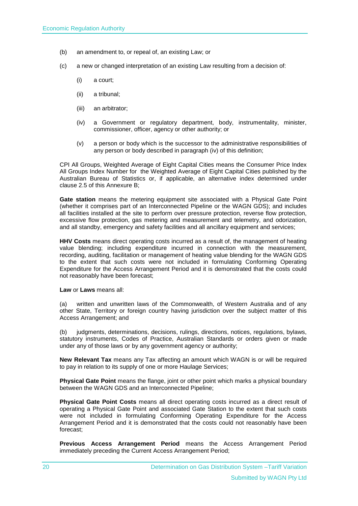- (b) an amendment to, or repeal of, an existing Law; or
- (c) a new or changed interpretation of an existing Law resulting from a decision of:
	- (i) a court;
	- (ii) a tribunal;
	- (iii) an arbitrator;
	- (iv) a Government or regulatory department, body, instrumentality, minister, commissioner, officer, agency or other authority; or
	- (v) a person or body which is the successor to the administrative responsibilities of any person or body described in paragraph (iv) of this definition;

CPI All Groups, Weighted Average of Eight Capital Cities means the Consumer Price Index All Groups Index Number for the Weighted Average of Eight Capital Cities published by the Australian Bureau of Statistics or, if applicable, an alternative index determined under clause [2.5](#page-20-2) of this Annexure B;

**Gate station** means the metering equipment site associated with a Physical Gate Point (whether it comprises part of an Interconnected Pipeline or the WAGN GDS); and includes all facilities installed at the site to perform over pressure protection, reverse flow protection, excessive flow protection, gas metering and measurement and telemetry, and odorization, and all standby, emergency and safety facilities and all ancillary equipment and services;

**HHV Costs** means direct operating costs incurred as a result of, the management of heating value blending; including expenditure incurred in connection with the measurement, recording, auditing, facilitation or management of heating value blending for the WAGN GDS to the extent that such costs were not included in formulating Conforming Operating Expenditure for the Access Arrangement Period and it is demonstrated that the costs could not reasonably have been forecast;

**Law** or **Laws** means all:

(a) written and unwritten laws of the Commonwealth, of Western Australia and of any other State, Territory or foreign country having jurisdiction over the subject matter of this Access Arrangement; and

(b) judgments, determinations, decisions, rulings, directions, notices, regulations, bylaws, statutory instruments, Codes of Practice, Australian Standards or orders given or made under any of those laws or by any government agency or authority;

**New Relevant Tax** means any Tax affecting an amount which WAGN is or will be required to pay in relation to its supply of one or more Haulage Services;

**Physical Gate Point** means the flange, joint or other point which marks a physical boundary between the WAGN GDS and an Interconnected Pipeline;

**Physical Gate Point Costs** means all direct operating costs incurred as a direct result of operating a Physical Gate Point and associated Gate Station to the extent that such costs were not included in formulating Conforming Operating Expenditure for the Access Arrangement Period and it is demonstrated that the costs could not reasonably have been forecast;

**Previous Access Arrangement Period** means the Access Arrangement Period immediately preceding the Current Access Arrangement Period;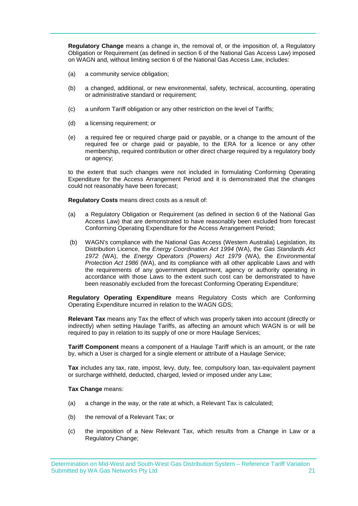**Regulatory Change** means a change in, the removal of, or the imposition of, a Regulatory Obligation or Requirement (as defined in section 6 of the National Gas Access Law) imposed on WAGN and, without limiting section 6 of the National Gas Access Law, includes:

- (a) a community service obligation;
- (b) a changed, additional, or new environmental, safety, technical, accounting, operating or administrative standard or requirement;
- (c) a uniform Tariff obligation or any other restriction on the level of Tariffs;
- (d) a licensing requirement; or
- (e) a required fee or required charge paid or payable, or a change to the amount of the required fee or charge paid or payable, to the ERA for a licence or any other membership, required contribution or other direct charge required by a regulatory body or agency;

to the extent that such changes were not included in formulating Conforming Operating Expenditure for the Access Arrangement Period and it is demonstrated that the changes could not reasonably have been forecast;

**Regulatory Costs** means direct costs as a result of:

- (a) a Regulatory Obligation or Requirement (as defined in section 6 of the National Gas Access Law) that are demonstrated to have reasonably been excluded from forecast Conforming Operating Expenditure for the Access Arrangement Period;
- (b) WAGN's compliance with the National Gas Access (Western Australia) Legislation, its Distribution Licence, the *Energy Coordination Act 1994* (WA), the *Gas Standards Act 1972* (WA), the *Energy Operators (Powers) Act 1979* (WA), the *Environmental Protection Act 1986* (WA), and its compliance with all other applicable Laws and with the requirements of any government department, agency or authority operating in accordance with those Laws to the extent such cost can be demonstrated to have been reasonably excluded from the forecast Conforming Operating Expenditure;

**Regulatory Operating Expenditure** means Regulatory Costs which are Conforming Operating Expenditure incurred in relation to the WAGN GDS;

**Relevant Tax** means any Tax the effect of which was properly taken into account (directly or indirectly) when setting Haulage Tariffs, as affecting an amount which WAGN is or will be required to pay in relation to its supply of one or more Haulage Services;

**Tariff Component** means a component of a Haulage Tariff which is an amount, or the rate by, which a User is charged for a single element or attribute of a Haulage Service;

**Tax** includes any tax, rate, impost, levy, duty, fee, compulsory loan, tax-equivalent payment or surcharge withheld, deducted, charged, levied or imposed under any Law;

#### **Tax Change** means:

- (a) a change in the way, or the rate at which, a Relevant Tax is calculated;
- (b) the removal of a Relevant Tax; or
- (c) the imposition of a New Relevant Tax, which results from a Change in Law or a Regulatory Change;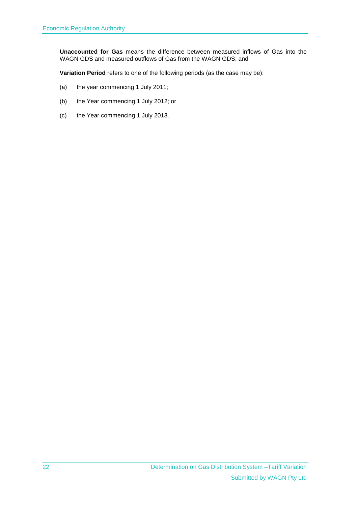**Unaccounted for Gas** means the difference between measured inflows of Gas into the WAGN GDS and measured outflows of Gas from the WAGN GDS; and

**Variation Period** refers to one of the following periods (as the case may be):

- (a) the year commencing 1 July 2011;
- (b) the Year commencing 1 July 2012; or
- (c) the Year commencing 1 July 2013.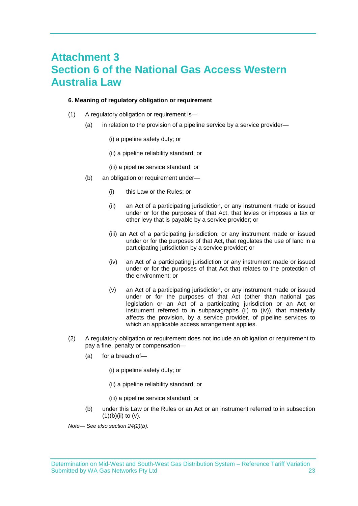## <span id="page-26-0"></span>**Attachment 3 Section 6 of the National Gas Access Western Australia Law**

#### **6. Meaning of regulatory obligation or requirement**

- (1) A regulatory obligation or requirement is—
	- (a) in relation to the provision of a pipeline service by a service provider—
		- (i) a pipeline safety duty; or
		- (ii) a pipeline reliability standard; or
		- (iii) a pipeline service standard; or
	- (b) an obligation or requirement under—
		- (i) this Law or the Rules; or
		- (ii) an Act of a participating jurisdiction, or any instrument made or issued under or for the purposes of that Act, that levies or imposes a tax or other levy that is payable by a service provider; or
		- (iii) an Act of a participating jurisdiction, or any instrument made or issued under or for the purposes of that Act, that regulates the use of land in a participating jurisdiction by a service provider; or
		- (iv) an Act of a participating jurisdiction or any instrument made or issued under or for the purposes of that Act that relates to the protection of the environment; or
		- (v) an Act of a participating jurisdiction, or any instrument made or issued under or for the purposes of that Act (other than national gas legislation or an Act of a participating jurisdiction or an Act or instrument referred to in subparagraphs (ii) to (iv)), that materially affects the provision, by a service provider, of pipeline services to which an applicable access arrangement applies.
- (2) A regulatory obligation or requirement does not include an obligation or requirement to pay a fine, penalty or compensation—
	- (a) for a breach of—
		- (i) a pipeline safety duty; or
		- (ii) a pipeline reliability standard; or
		- (iii) a pipeline service standard; or
	- (b) under this Law or the Rules or an Act or an instrument referred to in subsection  $(1)(b)(ii)$  to  $(v)$ .

*Note— See also section 24(2)(b).*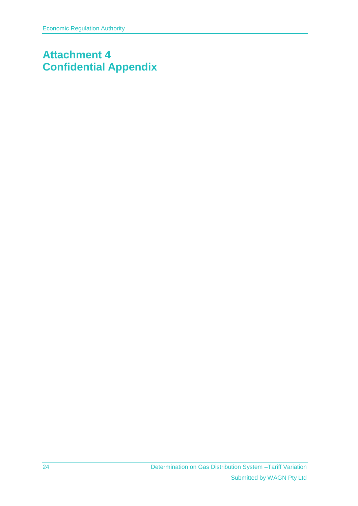# <span id="page-27-0"></span>**Attachment 4 Confidential Appendix**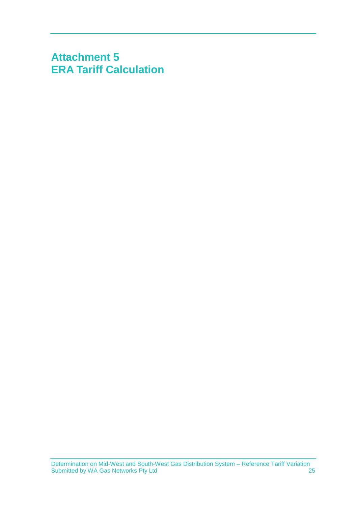# <span id="page-28-0"></span>**Attachment 5 ERA Tariff Calculation**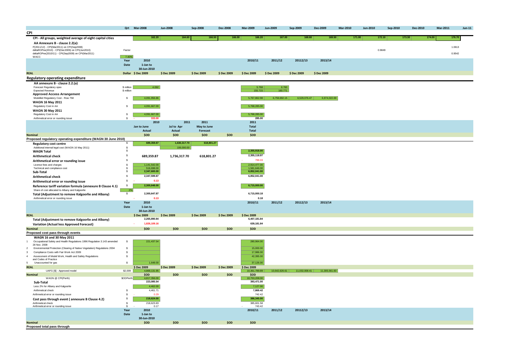|                                                                                                             |                          | Qrt Mar-2008               | <b>Jun-2008</b> | Sep-2008     | <b>Dec-2008</b> | Mar-2009                    | Jun-2009         | Sep-2009      | <b>Dec-2009</b> | <b>Mar-2010</b> | <b>Jun-2010</b> | Sep-2010 | <b>Dec-2010</b>  | Mar-2011 | $Jun-11$ |
|-------------------------------------------------------------------------------------------------------------|--------------------------|----------------------------|-----------------|--------------|-----------------|-----------------------------|------------------|---------------|-----------------|-----------------|-----------------|----------|------------------|----------|----------|
| <b>CPI</b>                                                                                                  |                          |                            |                 |              |                 |                             |                  |               |                 |                 |                 |          |                  |          |          |
| CPI - All groups, weighted average of eight capital cities                                                  |                          | 162.20                     | 164.60          | 166.50       | 166.00          | 166.20                      | 167.00           | 168.60        | 169.50          | 171.00          |                 | 172.10   | 173.30<br>174.00 |          | 176.70   |
| AA Annexure B - clause 2.2(a):                                                                              |                          |                            |                 |              |                 |                             |                  |               |                 |                 |                 |          |                  |          |          |
| P(2011/12) - CPI(Mar2011) on CPI(Sep2008)                                                                   |                          |                            |                 |              |                 |                             |                  |               |                 |                 |                 |          |                  |          | 1.0613   |
| deltaROPex(2010) - CPI(Dec2009) on CPI(Jun2010)<br>deltaROPex(2010/11) - CPI(Sep2009) on CPI(Mar2011)       | Factor                   |                            |                 |              |                 |                             |                  |               |                 |                 |                 | 0.9849   |                  |          | 0.9542   |
| <b>WACC</b>                                                                                                 | 7.40%                    |                            |                 |              |                 |                             |                  |               |                 |                 |                 |          |                  |          |          |
|                                                                                                             | Year                     | 2010                       |                 |              |                 | 2010/11                     | 2011/12          | 20112/13      | 2013/14         |                 |                 |          |                  |          |          |
|                                                                                                             | Date                     | 1-Jan to                   |                 |              |                 |                             |                  |               |                 |                 |                 |          |                  |          |          |
|                                                                                                             |                          | 30-Jun-2010                |                 |              |                 |                             |                  |               |                 |                 |                 |          |                  |          |          |
| <b>REAL</b>                                                                                                 |                          | Dollar \$Dec 2009          | \$ Dec 2009     | \$ Dec 2009  | \$ Dec 2009     | \$ Dec 2009                 | \$ Dec 2009      | \$ Dec 2009   | \$ Dec 2009     |                 |                 |          |                  |          |          |
| Regulatory operating expenditure                                                                            |                          |                            |                 |              |                 |                             |                  |               |                 |                 |                 |          |                  |          |          |
| AA annexure B - clause 2.2.(a)                                                                              |                          |                            |                 |              |                 |                             |                  |               |                 |                 |                 |          |                  |          |          |
| Forecast Regulatory opex<br><b>Expected Revenue</b>                                                         | \$ million<br>\$ million | 4.092                      |                 |              |                 | $\frac{5.768}{155.715}$     | 6.760<br>160.771 |               |                 |                 |                 |          |                  |          |          |
| <b>Approved Access Arrangement</b>                                                                          |                          |                            |                 |              |                 |                             |                  |               |                 |                 |                 |          |                  |          |          |
| Modelled Regulatory Cost - Row 758                                                                          | s.                       | 4,091,956.86               |                 |              |                 | 5,767,862.98                | 6,759,692.15     | 6,529,076.47  | 6,974,022.69    |                 |                 |          |                  |          |          |
| <b>WAGN 16 May 2011</b>                                                                                     |                          |                            |                 |              |                 |                             |                  |               |                 |                 |                 |          |                  |          |          |
| Regulatory Cost in AA                                                                                       | s.                       | 4,091,667.00               |                 |              |                 | 5,768,285.00                |                  |               |                 |                 |                 |          |                  |          |          |
| WAGN 30 May 2011                                                                                            |                          |                            |                 |              |                 |                             |                  |               |                 |                 |                 |          |                  |          |          |
| Regulatory Cost in AA                                                                                       | s.<br>$\mathbf{s}$       | 4,091,667.00<br>333.00     |                 |              |                 | 5,768,285.00<br>285.00      |                  |               |                 |                 |                 |          |                  |          |          |
| Arithmetical error or rounding issue                                                                        |                          | 2010                       |                 | 2011<br>2011 |                 | 2011                        |                  |               |                 |                 |                 |          |                  |          |          |
|                                                                                                             |                          | Jan to June                | Jul to Apr      | May to June  |                 | <b>Total</b>                |                  |               |                 |                 |                 |          |                  |          |          |
|                                                                                                             |                          | Actual                     | Actual          | Forecast     |                 | <b>Total</b>                |                  |               |                 |                 |                 |          |                  |          |          |
| <b>Nominal</b>                                                                                              |                          | \$OD                       | \$OD            | \$OD         | \$OD            | \$OD                        |                  |               |                 |                 |                 |          |                  |          |          |
| Proposed regulatory operating expenditure (WAGN 30 June 2010)                                               |                          |                            |                 |              |                 |                             |                  |               |                 |                 |                 |          |                  |          |          |
| <b>Regulatory cost centre</b>                                                                               |                          | 689,359.87                 | 1,630,317.70    | 618,801.27   |                 |                             |                  |               |                 |                 |                 |          |                  |          |          |
| Additional internal legal cost (WAGN 16 May 2011)                                                           | s.<br>\$                 |                            | 106,000.00      |              |                 | 2,355,918.00                |                  |               |                 |                 |                 |          |                  |          |          |
| <b>WAGN Total</b>                                                                                           | \$                       |                            |                 |              |                 | 2,355,118.97                |                  |               |                 |                 |                 |          |                  |          |          |
| <b>Arithmetical check</b>                                                                                   | $\mathbf{\hat{s}}$       | 689,359.87                 | 1,736,317.70    | 618,801.27   |                 | 799.03                      |                  |               |                 |                 |                 |          |                  |          |          |
| Arithmetical error or rounding issue<br>License fees and charges                                            | s.                       |                            |                 |              |                 | 2.914.477.00                |                  |               |                 |                 |                 |          |                  |          |          |
| Technical and compliance cost                                                                               | \$                       | 1,141,542.00<br>516,698.00 |                 |              |                 | 1.581.646.00                |                  |               |                 |                 |                 |          |                  |          |          |
| Sub-Total                                                                                                   | \$                       | 2,347,600.00               |                 |              |                 | 6,852,041.00                |                  |               |                 |                 |                 |          |                  |          |          |
| <b>Arithmetical check</b>                                                                                   | \$                       | 2,347,599.87               |                 |              |                 | 6,852,041.00                |                  |               |                 |                 |                 |          |                  |          |          |
| Arithmetical error or rounding issue                                                                        | \$                       | 0.13                       |                 |              |                 |                             |                  |               |                 |                 |                 |          |                  |          |          |
| Reference tariff variation formula (annexure B Clause 4.1)                                                  | \$                       | 2,300,648.00               |                 |              |                 | 6,715,000.00                |                  |               |                 |                 |                 |          |                  |          |          |
| Share of cost allocated to Albany and Kalgoorlie                                                            | 2%                       |                            |                 |              |                 |                             |                  |               |                 |                 |                 |          |                  |          |          |
| Total (Adjustment to remove Kalgoorlie and Albany)                                                          | \$                       | 2,300,647.87               |                 |              |                 | 6,715,000.18                |                  |               |                 |                 |                 |          |                  |          |          |
| Arithmetical error or rounding issue                                                                        |                          | 0.13                       |                 |              |                 | 0.18                        |                  |               |                 |                 |                 |          |                  |          |          |
|                                                                                                             | Year                     | 2010                       |                 |              |                 | 2010/11                     | 2011/12          | 20112/13      | 2013/14         |                 |                 |          |                  |          |          |
|                                                                                                             | Date                     | 1-Jan to<br>30-Jun-2010    |                 |              |                 |                             |                  |               |                 |                 |                 |          |                  |          |          |
| <b>REAL</b>                                                                                                 |                          | \$ Dec 2009                | \$ Dec 2009     | \$ Dec 2009  | \$ Dec 2009     | \$ Dec 2009                 |                  |               |                 |                 |                 |          |                  |          |          |
| Total (Adjustment to remove Kalgoorlie and Albany)                                                          |                          | 2,265,890.84               |                 |              |                 | 6,407,181.84                |                  |               |                 |                 |                 |          |                  |          |          |
| <b>Variation (Actual less Approved Forecast)</b>                                                            |                          | 1,826,109.16<br>×.         |                 |              |                 | 639,181.84                  |                  |               |                 |                 |                 |          |                  |          |          |
| <b>Nominal</b>                                                                                              |                          | \$OD                       | \$OD            | \$OD         | \$OD            | \$OD                        |                  |               |                 |                 |                 |          |                  |          |          |
| Proposed cost pass through events                                                                           |                          |                            |                 |              |                 |                             |                  |               |                 |                 |                 |          |                  |          |          |
| WAGN 16 and 30 May 2011                                                                                     |                          |                            |                 |              |                 |                             |                  |               |                 |                 |                 |          |                  |          |          |
| Occupational Safety and Health Regulations 1996 Regulation 3.143 amended                                    | $\mathsf{s}$             | 221,437.54                 |                 |              |                 | 280,964.00                  |                  |               |                 |                 |                 |          |                  |          |          |
| 28 Nov. 2008<br>Environmental Protection (Clearing of Native Vegetation) Regulations 2004<br>$\overline{2}$ | $\mathbb{S}$             |                            |                 |              |                 | 15,000.00                   |                  |               |                 |                 |                 |          |                  |          |          |
| Compliance Costs with Fair Work Act 2009<br>3                                                               | \$                       |                            |                 |              |                 | 17,986.00                   |                  |               |                 |                 |                 |          |                  |          |          |
| Assessment of Model Work, Health and Safety Regulations<br>$\overline{4}$                                   | $\mathbb{S}$             |                            |                 |              |                 | 42.395.00                   |                  |               |                 |                 |                 |          |                  |          |          |
| and Codes of Practice<br>5<br>Unaccounted for gas                                                           | \$                       | 1,648.00                   |                 |              |                 | 37,126.00                   |                  |               |                 |                 |                 |          |                  |          |          |
| <b>REAL</b>                                                                                                 |                          | \$ Dec 2009                | \$ Dec 2009     | \$ Dec 2009  | \$ Dec 2009     | \$ Dec 2009                 |                  |               |                 |                 |                 |          |                  |          |          |
| UAFG [\$] - Approved model                                                                                  | \$2,009                  | 4,869,131.95               |                 |              |                 | 10,361,789.89               | 10,642,626.61    | 11,032,008.41 | 11,305,561.83   |                 |                 |          |                  |          |          |
| <b>Nominal</b>                                                                                              |                          | \$OD                       | \$OD            | \$OD         | \$OD            | \$OD                        |                  |               |                 |                 |                 |          |                  |          |          |
| WAGN @ CPI(Perth)                                                                                           | \$ODPerth                | 4.817.356.00<br>223,085.54 |                 |              |                 | 10,753,208.00<br>393,471.00 |                  |               |                 |                 |                 |          |                  |          |          |
| Sub-Total<br>Less 2% for Albany and Kalgoorlie                                                              |                          | 4,462.00                   |                 |              |                 | 7,127.00                    |                  |               |                 |                 |                 |          |                  |          |          |
| Arithmetical check                                                                                          | \$                       | 4,461.71                   |                 |              |                 | 7,869.42                    |                  |               |                 |                 |                 |          |                  |          |          |
| Arithmetical error or rounding issue                                                                        | \$                       | 0.29                       |                 |              |                 | 742.42                      |                  |               |                 |                 |                 |          |                  |          |          |
| Cost pass through event (annexure B Clause 4.2)                                                             | \$                       | 218,624.00                 |                 |              |                 | 386,345.00                  |                  |               |                 |                 |                 |          |                  |          |          |
| Arithmetical check                                                                                          | s.                       | 218,623.83                 |                 |              |                 | 385,601.58                  |                  |               |                 |                 |                 |          |                  |          |          |
| Arithmetical error or rounding issue                                                                        | $\mathbf{s}$             | 0.17                       |                 |              |                 | 743.42                      |                  |               |                 |                 |                 |          |                  |          |          |
|                                                                                                             | Year                     | 2010                       |                 |              |                 | 2010/11                     | 2011/12          | 20112/13      | 2013/14         |                 |                 |          |                  |          |          |
|                                                                                                             | Date                     | 1-Jan to<br>30-Jun-2010    |                 |              |                 |                             |                  |               |                 |                 |                 |          |                  |          |          |
| <b>Nominal</b>                                                                                              |                          | \$OD                       | \$OD            | <b>\$OD</b>  | \$OD            | \$OD                        |                  |               |                 |                 |                 |          |                  |          |          |
| Proposed total pass through                                                                                 |                          |                            |                 |              |                 |                             |                  |               |                 |                 |                 |          |                  |          |          |